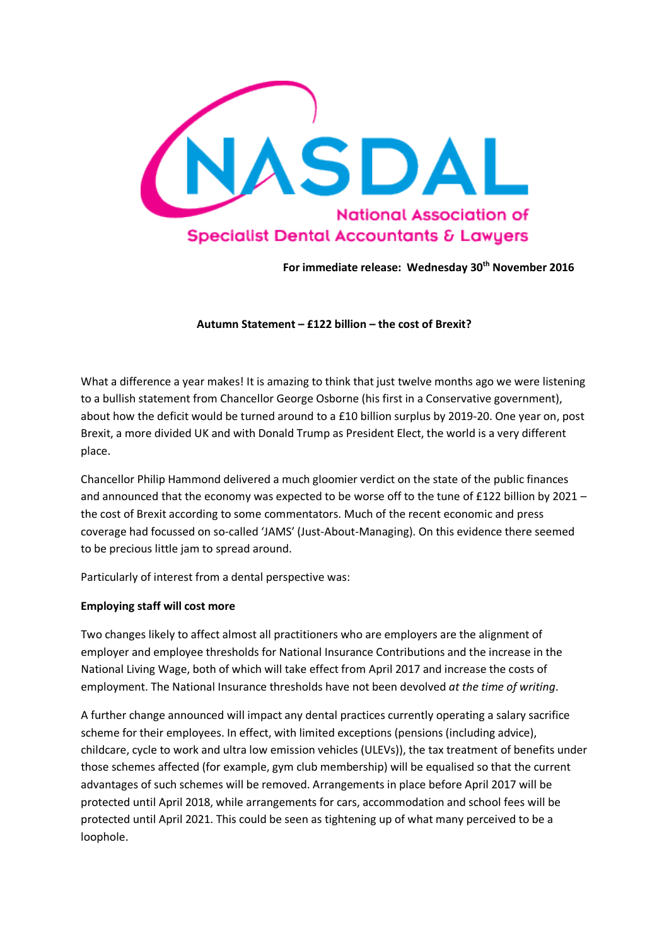

**For immediate release: Wednesday 30th November 2016**

**Autumn Statement – £122 billion – the cost of Brexit?**

What a difference a year makes! It is amazing to think that just twelve months ago we were listening to a bullish statement from Chancellor George Osborne (his first in a Conservative government), about how the deficit would be turned around to a £10 billion surplus by 2019-20. One year on, post Brexit, a more divided UK and with Donald Trump as President Elect, the world is a very different place.

Chancellor Philip Hammond delivered a much gloomier verdict on the state of the public finances and announced that the economy was expected to be worse off to the tune of £122 billion by 2021 – the cost of Brexit according to some commentators. Much of the recent economic and press coverage had focussed on so-called 'JAMS' (Just-About-Managing). On this evidence there seemed to be precious little jam to spread around.

Particularly of interest from a dental perspective was:

# **Employing staff will cost more**

Two changes likely to affect almost all practitioners who are employers are the alignment of employer and employee thresholds for National Insurance Contributions and the increase in the National Living Wage, both of which will take effect from April 2017 and increase the costs of employment. The National Insurance thresholds have not been devolved *at the time of writing*.

A further change announced will impact any dental practices currently operating a salary sacrifice scheme for their employees. In effect, with limited exceptions (pensions (including advice), childcare, cycle to work and ultra low emission vehicles (ULEVs)), the tax treatment of benefits under those schemes affected (for example, gym club membership) will be equalised so that the current advantages of such schemes will be removed. Arrangements in place before April 2017 will be protected until April 2018, while arrangements for cars, accommodation and school fees will be protected until April 2021. This could be seen as tightening up of what many perceived to be a loophole.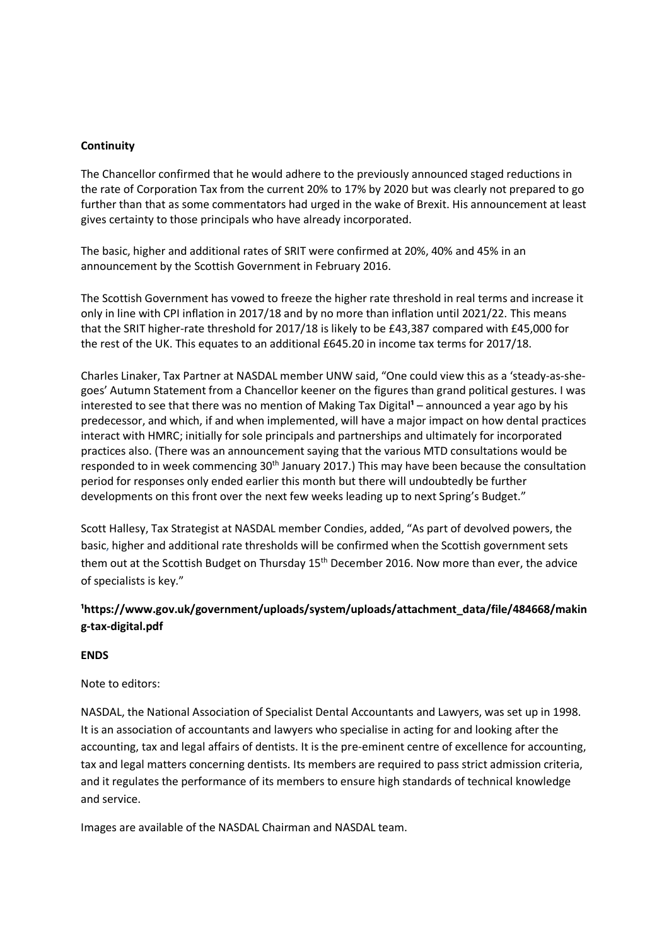### **Continuity**

The Chancellor confirmed that he would adhere to the previously announced staged reductions in the rate of Corporation Tax from the current 20% to 17% by 2020 but was clearly not prepared to go further than that as some commentators had urged in the wake of Brexit. His announcement at least gives certainty to those principals who have already incorporated.

The basic, higher and additional rates of SRIT were confirmed at 20%, 40% and 45% in an announcement by the Scottish Government in February 2016.

The Scottish Government has vowed to freeze the higher rate threshold in real terms and increase it only in line with CPI inflation in 2017/18 and by no more than inflation until 2021/22. This means that the SRIT higher-rate threshold for 2017/18 is likely to be £43,387 compared with £45,000 for the rest of the UK. This equates to an additional £645.20 in income tax terms for 2017/18.

Charles Linaker, Tax Partner at NASDAL member UNW said, "One could view this as a 'steady-as-shegoes' Autumn Statement from a Chancellor keener on the figures than grand political gestures. I was interested to see that there was no mention of Making Tax Digital<sup>1</sup> – announced a year ago by his predecessor, and which, if and when implemented, will have a major impact on how dental practices interact with HMRC; initially for sole principals and partnerships and ultimately for incorporated practices also. (There was an announcement saying that the various MTD consultations would be responded to in week commencing 30<sup>th</sup> January 2017.) This may have been because the consultation period for responses only ended earlier this month but there will undoubtedly be further developments on this front over the next few weeks leading up to next Spring's Budget."

Scott Hallesy, Tax Strategist at NASDAL member Condies, added, "As part of devolved powers, the basic, higher and additional rate thresholds will be confirmed when the Scottish government sets them out at the Scottish Budget on Thursday 15<sup>th</sup> December 2016. Now more than ever, the advice of specialists is key."

# **¹https://www.gov.uk/government/uploads/system/uploads/attachment\_data/file/484668/makin g-tax-digital.pdf**

#### **ENDS**

# Note to editors:

NASDAL, the National Association of Specialist Dental Accountants and Lawyers, was set up in 1998. It is an association of accountants and lawyers who specialise in acting for and looking after the accounting, tax and legal affairs of dentists. It is the pre-eminent centre of excellence for accounting, tax and legal matters concerning dentists. Its members are required to pass strict admission criteria, and it regulates the performance of its members to ensure high standards of technical knowledge and service.

Images are available of the NASDAL Chairman and NASDAL team.